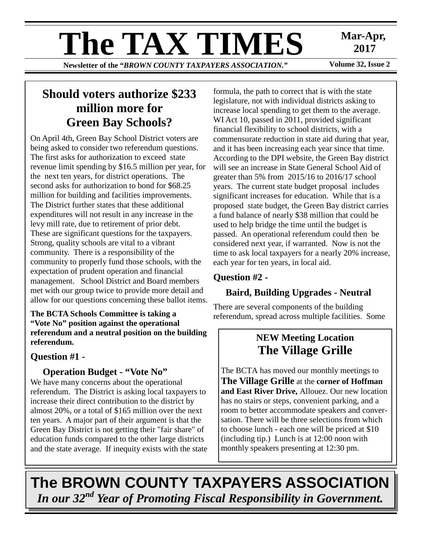# **The TAX TIMES** Mar-Apr,<br>Newsletter of the "RROWN COUNTY TAXPAYERS ASSOCIATION"

**Newsletter of the "BROWN COUNTY TAXPAYERS ASSOCIATION."** 

 **2017** 

# **Should voters authorize \$233 million more for Green Bay Schools?**

On April 4th, Green Bay School District voters are being asked to consider two referendum questions. The first asks for authorization to exceed state revenue limit spending by \$16.5 million per year, for the next ten years, for district operations. The second asks for authorization to bond for \$68.25 million for building and facilities improvements. The District further states that these additional expenditures will not result in any increase in the levy mill rate, due to retirement of prior debt. These are significant questions for the taxpayers. Strong, quality schools are vital to a vibrant community. There is a responsibility of the community to properly fund those schools, with the expectation of prudent operation and financial management. School District and Board members met with our group twice to provide more detail and allow for our questions concerning these ballot items.

## **The BCTA Schools Committee is taking a "Vote No" position against the operational referendum and a neutral position on the building referendum.**

## **Question #1 -**

## **Operation Budget - "Vote No"**

We have many concerns about the operational referendum. The District is asking local taxpayers to increase their direct contribution to the district by almost 20%, or a total of \$165 million over the next ten years. A major part of their argument is that the Green Bay District is not getting their "fair share" of education funds compared to the other large districts and the state average. If inequity exists with the state formula, the path to correct that is with the state legislature, not with individual districts asking to increase local spending to get them to the average. WI Act 10, passed in 2011, provided significant financial flexibility to school districts, with a commensurate reduction in state aid during that year, and it has been increasing each year since that time. According to the DPI website, the Green Bay district will see an increase in State General School Aid of greater than 5% from 2015/16 to 2016/17 school years. The current state budget proposal includes significant increases for education. While that is a proposed state budget, the Green Bay district carries a fund balance of nearly \$38 million that could be used to help bridge the time until the budget is passed. An operational referendum could then be considered next year, if warranted. Now is not the time to ask local taxpayers for a nearly 20% increase, each year for ten years, in local aid.

## **Question #2 -**

## **Baird, Building Upgrades - Neutral**

There are several components of the building referendum, spread across multiple facilities. Some

## **NEW Meeting Location The Village Grille**

monthly speakers presenting at 12:30 pm. The BCTA has moved our monthly meetings to **The Village Grille** at the **corner of Hoffman and East River Drive,** Allouez. Our new location has no stairs or steps, convenient parking, and a room to better accommodate speakers and conversation. There will be three selections from which to choose lunch - each one will be priced at \$10 (including tip.) Lunch is at 12:00 noon with

**The BROWN COUNTY TAXPAYERS ASSOCIATION**  *In our 32nd Year of Promoting Fiscal Responsibility in Government.*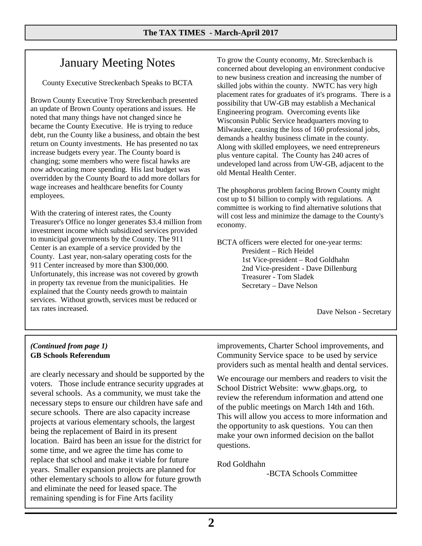# January Meeting Notes

County Executive Streckenbach Speaks to BCTA

Brown County Executive Troy Streckenbach presented an update of Brown County operations and issues. He noted that many things have not changed since he became the County Executive. He is trying to reduce debt, run the County like a business, and obtain the best return on County investments. He has presented no tax increase budgets every year. The County board is changing; some members who were fiscal hawks are now advocating more spending. His last budget was overridden by the County Board to add more dollars for wage increases and healthcare benefits for County employees.

With the cratering of interest rates, the County Treasurer's Office no longer generates \$3.4 million from investment income which subsidized services provided to municipal governments by the County. The 911 Center is an example of a service provided by the County. Last year, non-salary operating costs for the 911 Center increased by more than \$300,000. Unfortunately, this increase was not covered by growth in property tax revenue from the municipalities. He explained that the County needs growth to maintain services. Without growth, services must be reduced or tax rates increased.

To grow the County economy, Mr. Streckenbach is concerned about developing an environment conducive to new business creation and increasing the number of skilled jobs within the county. NWTC has very high placement rates for graduates of it's programs. There is a possibility that UW-GB may establish a Mechanical Engineering program. Overcoming events like Wisconsin Public Service headquarters moving to Milwaukee, causing the loss of 160 professional jobs, demands a healthy business climate in the county. Along with skilled employees, we need entrepreneurs plus venture capital. The County has 240 acres of undeveloped land across from UW-GB, adjacent to the old Mental Health Center.

The phosphorus problem facing Brown County might cost up to \$1 billion to comply with regulations. A committee is working to find alternative solutions that will cost less and minimize the damage to the County's economy.

BCTA officers were elected for one-year terms: President – Rich Heidel 1st Vice-president – Rod Goldhahn 2nd Vice-president - Dave Dillenburg Treasurer - Tom Sladek Secretary – Dave Nelson

Dave Nelson - Secretary

#### *(Continued from page 1)*  **GB Schools Referendum**

are clearly necessary and should be supported by the voters. Those include entrance security upgrades at several schools. As a community, we must take the necessary steps to ensure our children have safe and secure schools. There are also capacity increase projects at various elementary schools, the largest being the replacement of Baird in its present location. Baird has been an issue for the district for some time, and we agree the time has come to replace that school and make it viable for future years. Smaller expansion projects are planned for other elementary schools to allow for future growth and eliminate the need for leased space. The remaining spending is for Fine Arts facility

improvements, Charter School improvements, and Community Service space to be used by service providers such as mental health and dental services.

We encourage our members and readers to visit the School District Website: www.gbaps.org, to review the referendum information and attend one of the public meetings on March 14th and 16th. This will allow you access to more information and the opportunity to ask questions. You can then make your own informed decision on the ballot questions.

Rod Goldhahn

-BCTA Schools Committee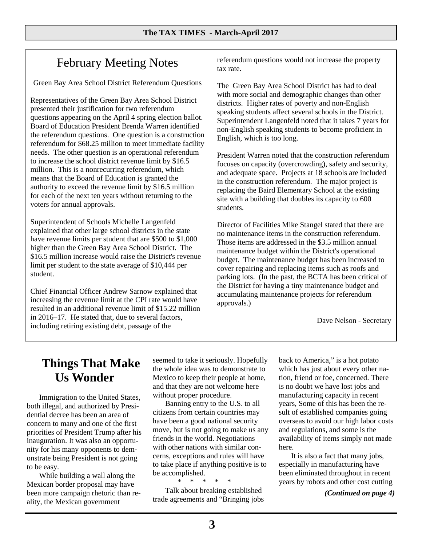# February Meeting Notes

Green Bay Area School District Referendum Questions

Representatives of the Green Bay Area School District presented their justification for two referendum questions appearing on the April 4 spring election ballot. Board of Education President Brenda Warren identified the referendum questions. One question is a construction referendum for \$68.25 million to meet immediate facility needs. The other question is an operational referendum to increase the school district revenue limit by \$16.5 million. This is a nonrecurring referendum, which means that the Board of Education is granted the authority to exceed the revenue limit by \$16.5 million for each of the next ten years without returning to the voters for annual approvals.

Superintendent of Schools Michelle Langenfeld explained that other large school districts in the state have revenue limits per student that are \$500 to \$1,000 higher than the Green Bay Area School District. The \$16.5 million increase would raise the District's revenue limit per student to the state average of \$10,444 per student.

Chief Financial Officer Andrew Sarnow explained that increasing the revenue limit at the CPI rate would have resulted in an additional revenue limit of \$15.22 million in 2016–17. He stated that, due to several factors, including retiring existing debt, passage of the

referendum questions would not increase the property tax rate.

The Green Bay Area School District has had to deal with more social and demographic changes than other districts. Higher rates of poverty and non-English speaking students affect several schools in the District. Superintendent Langenfeld noted that it takes 7 years for non-English speaking students to become proficient in English, which is too long.

President Warren noted that the construction referendum focuses on capacity (overcrowding), safety and security, and adequate space. Projects at 18 schools are included in the construction referendum. The major project is replacing the Baird Elementary School at the existing site with a building that doubles its capacity to 600 students.

Director of Facilities Mike Stangel stated that there are no maintenance items in the construction referendum. Those items are addressed in the \$3.5 million annual maintenance budget within the District's operational budget. The maintenance budget has been increased to cover repairing and replacing items such as roofs and parking lots. (In the past, the BCTA has been critical of the District for having a tiny maintenance budget and accumulating maintenance projects for referendum approvals.)

Dave Nelson - Secretary

# **Things That Make Us Wonder**

Immigration to the United States, both illegal, and authorized by Presidential decree has been an area of concern to many and one of the first priorities of President Trump after his inauguration. It was also an opportunity for his many opponents to demonstrate being President is not going to be easy.

While building a wall along the Mexican border proposal may have been more campaign rhetoric than reality, the Mexican government

seemed to take it seriously. Hopefully the whole idea was to demonstrate to Mexico to keep their people at home, and that they are not welcome here without proper procedure.

Banning entry to the U.S. to all citizens from certain countries may have been a good national security move, but is not going to make us any friends in the world. Negotiations with other nations with similar concerns, exceptions and rules will have to take place if anything positive is to be accomplished.

 \* \* \* \* \* Talk about breaking established trade agreements and "Bringing jobs

back to America," is a hot potato which has just about every other nation, friend or foe, concerned. There is no doubt we have lost jobs and manufacturing capacity in recent years, Some of this has been the result of established companies going overseas to avoid our high labor costs and regulations, and some is the availability of items simply not made here.

It is also a fact that many jobs, especially in manufacturing have been eliminated throughout in recent years by robots and other cost cutting

*(Continued on page 4)*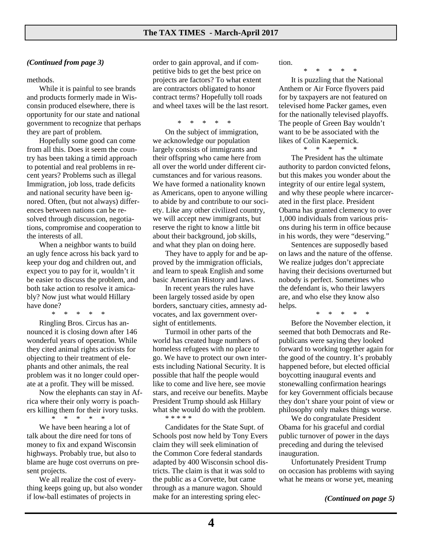#### *(Continued from page 3)*

methods.

While it is painful to see brands and products formerly made in Wisconsin produced elsewhere, there is opportunity for our state and national government to recognize that perhaps they are part of problem.

Hopefully some good can come from all this. Does it seem the country has been taking a timid approach to potential and real problems in recent years? Problems such as illegal Immigration, job loss, trade deficits and national security have been ignored. Often, (but not always) differences between nations can be resolved through discussion, negotiations, compromise and cooperation to the interests of all.

When a neighbor wants to build an ugly fence across his back yard to keep your dog and children out, and expect you to pay for it, wouldn't it be easier to discuss the problem, and both take action to resolve it amicably? Now just what would Hillary have done?

 \* \* \* \* \* Ringling Bros. Circus has announced it is closing down after 146 wonderful years of operation. While they cited animal rights activists for objecting to their treatment of elephants and other animals, the real problem was it no longer could operate at a profit. They will be missed.

Now the elephants can stay in Africa where their only worry is poachers killing them for their ivory tusks.

> \* \* \* \* \* We have been hearing a lot of

talk about the dire need for tons of money to fix and expand Wisconsin highways. Probably true, but also to blame are huge cost overruns on present projects.

We all realize the cost of everything keeps going up, but also wonder if low-ball estimates of projects in

order to gain approval, and if competitive bids to get the best price on projects are factors? To what extent are contractors obligated to honor contract terms? Hopefully toll roads and wheel taxes will be the last resort.

\* \* \* \* \*

On the subject of immigration, we acknowledge our population largely consists of immigrants and their offspring who came here from all over the world under different circumstances and for various reasons. We have formed a nationality known as Americans, open to anyone willing to abide by and contribute to our society. Like any other civilized country, we will accept new immigrants, but reserve the right to know a little bit about their background, job skills, and what they plan on doing here.

They have to apply for and be approved by the immigration officials, and learn to speak English and some basic American History and laws.

In recent years the rules have been largely tossed aside by open borders, sanctuary cities, amnesty advocates, and lax government oversight of entitlements.

Turmoil in other parts of the world has created huge numbers of homeless refugees with no place to go. We have to protect our own interests including National Security. It is possible that half the people would like to come and live here, see movie stars, and receive our benefits. Maybe President Trump should ask Hillary what she would do with the problem. \* \* \* \* \*

Candidates for the State Supt. of Schools post now held by Tony Evers claim they will seek elimination of the Common Core federal standards adapted by 400 Wisconsin school districts. The claim is that it was sold to the public as a Corvette, but came through as a manure wagon. Should make for an interesting spring election.

\* \* \* \* \*

It is puzzling that the National Anthem or Air Force flyovers paid for by taxpayers are not featured on televised home Packer games, even for the nationally televised playoffs. The people of Green Bay wouldn't want to be be associated with the likes of Colin Kaepernick.

\* \* \* \* \*

The President has the ultimate authority to pardon convicted felons, but this makes you wonder about the integrity of our entire legal system, and why these people where incarcerated in the first place. President Obama has granted clemency to over 1,000 individuals from various prisons during his term in office because in his words, they were "deserving."

Sentences are supposedly based on laws and the nature of the offense. We realize judges don't appreciate having their decisions overturned but nobody is perfect. Sometimes who the defendant is, who their lawyers are, and who else they know also helps.

\* \* \* \* \*

Before the November election, it seemed that both Democrats and Republicans were saying they looked forward to working together again for the good of the country. It's probably happened before, but elected official boycotting inaugural events and stonewalling confirmation hearings for key Government officials because they don't share your point of view or philosophy only makes things worse.

We do congratulate President Obama for his graceful and cordial public turnover of power in the days preceding and during the televised inauguration.

Unfortunately President Trump on occasion has problems with saying what he means or worse yet, meaning

*(Continued on page 5)*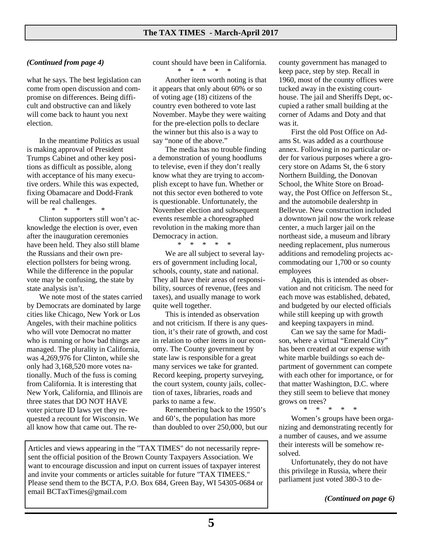#### *(Continued from page 4)*

what he says. The best legislation can come from open discussion and compromise on differences. Being difficult and obstructive can and likely will come back to haunt you next election.

In the meantime Politics as usual is making approval of President Trumps Cabinet and other key positions as difficult as possible, along with acceptance of his many executive orders. While this was expected, fixing Obamacare and Dodd-Frank will be real challenges.

\* \* \* \* \*

Clinton supporters still won't acknowledge the election is over, even after the inauguration ceremonies have been held. They also still blame the Russians and their own preelection pollsters for being wrong. While the difference in the popular vote may be confusing, the state by state analysis isn't.

We note most of the states carried by Democrats are dominated by large cities like Chicago, New York or Los Angeles, with their machine politics who will vote Democrat no matter who is running or how bad things are managed. The plurality in California, was 4,269,976 for Clinton, while she only had 3,168,520 more votes nationally. Much of the fuss is coming from California. It is interesting that New York, California, and Illinois are three states that DO NOT HAVE voter picture ID laws yet they requested a recount for Wisconsin. We all know how that came out. The recount should have been in California. \* \* \* \* \*

Another item worth noting is that it appears that only about 60% or so of voting age (18) citizens of the country even bothered to vote last November. Maybe they were waiting for the pre-election polls to declare the winner but this also is a way to say "none of the above."

The media has no trouble finding a demonstration of young hoodlums to televise, even if they don't really know what they are trying to accomplish except to have fun. Whether or not this sector even bothered to vote is questionable. Unfortunately, the November election and subsequent events resemble a choreographed revolution in the making more than Democracy in action.

\* \* \* \* \*

We are all subject to several layers of government including local, schools, county, state and national. They all have their areas of responsibility, sources of revenue, (fees and taxes), and usually manage to work quite well together.

This is intended as observation and not criticism. If there is any question, it's their rate of growth, and cost in relation to other items in our economy. The County government by state law is responsible for a great many services we take for granted. Record keeping, property surveying, the court system, county jails, collection of taxes, libraries, roads and parks to name a few.

Remembering back to the 1950's and 60's, the population has more than doubled to over 250,000, but our

Articles and views appearing in the "TAX TIMES" do not necessarily represent the official position of the Brown County Taxpayers Association. We want to encourage discussion and input on current issues of taxpayer interest and invite your comments or articles suitable for future "TAX TIMEES." Please send them to the BCTA, P.O. Box 684, Green Bay, WI 54305-0684 or email BCTaxTimes@gmail.com

county government has managed to keep pace, step by step. Recall in 1960, most of the county offices were tucked away in the existing courthouse. The jail and Sheriffs Dept, occupied a rather small building at the corner of Adams and Doty and that was it.

First the old Post Office on Adams St. was added as a courthouse annex. Following in no particular order for various purposes where a grocery store on Adams St, the 6 story Northern Building, the Donovan School, the White Store on Broadway, the Post Office on Jefferson St., and the automobile dealershtp in Bellevue. New construction included a downtown jail now the work release center, a much larger jail on the northeast side, a museum and library needing replacement, plus numerous additions and remodeling projects accommodating our 1,700 or so county employees

Again, this is intended as observation and not criticism. The need for each move was established, debated, and budgeted by our elected officials while still keeping up with growth and keeping taxpayers in mind.

Can we say the same for Madison, where a virtual "Emerald City" has been created at our expense with white marble buildings so each department of government can compete with each other for importance, or for that matter Washington, D.C. where they still seem to believe that money grows on trees? \* \* \* \* \*

Women's groups have been organizing and demonstrating recently for

a number of causes, and we assume their interests will be somehow resolved.

Unfortunately, they do not have this privilege in Russia, where their parliament just voted 380-3 to de-

*(Continued on page 6)*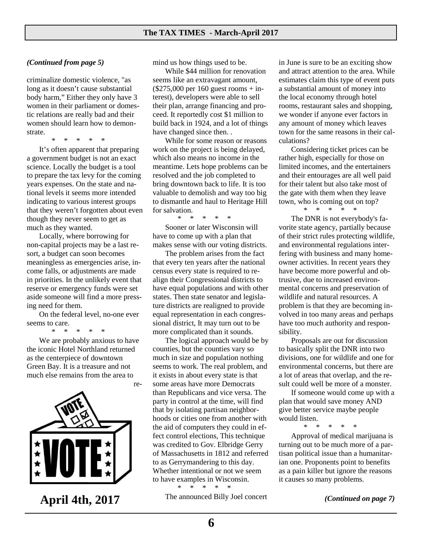#### *(Continued from page 5)*

criminalize domestic violence, "as long as it doesn't cause substantial body harm," Either they only have 3 women in their parliament or domestic relations are really bad and their women should learn how to demonstrate.

\* \* \* \* \*

It's often apparent that preparing a government budget is not an exact science. Locally the budget is a tool to prepare the tax levy for the coming years expenses. On the state and national levels it seems more intended indicating to various interest groups that they weren't forgotten about even though they never seem to get as much as they wanted.

Locally, where borrowing for non-capital projects may be a last resort, a budget can soon becomes meaningless as emergencies arise, income falls, or adjustments are made in priorities. In the unlikely event that reserve or emergency funds were set aside someone will find a more pressing need for them.

On the federal level, no-one ever seems to care.

\* \* \* \* \*

We are probably anxious to have the iconic Hotel Northland returned as the centerpiece of downtown Green Bay. It is a treasure and not much else remains from the area to

re-



**April 4th, 2017** *Ihe announced Billy Joel concert (Continued on page 7)* 

mind us how things used to be.

While \$44 million for renovation seems like an extravagant amount,  $($275,000 \text{ per } 160 \text{ guest rooms} + \text{in-}$ terest), developers were able to sell their plan, arrange financing and proceed. It reportedly cost \$1 million to build back in 1924, and a lot of things have changed since then. .

While for some reason or reasons work on the project is being delayed, which also means no income in the meantime. Lets hope problems can be resolved and the job completed to bring downtown back to life. It is too valuable to demolish and way too big to dismantle and haul to Heritage Hill for salvation.

\* \* \* \* \*

Sooner or later Wisconsin will have to come up with a plan that makes sense with our voting districts.

The problem arises from the fact that every ten years after the national census every state is required to realign their Congressional districts to have equal populations and with other states. Then state senator and legislature districts are realigned to provide equal representation in each congressional district, It may turn out to be more complicated than it sounds.

The logical approach would be by counties, but the counties vary so much in size and population nothing seems to work. The real problem, and it exists in about every state is that some areas have more Democrats than Republicans and vice versa. The party in control at the time, will find that by isolating partisan neighborhoods or cities one from another with the aid of computers they could in effect control elections, This technique was credited to Gov. Elbridge Gerry of Massachusetts in 1812 and referred to as Gerrymandering to this day. Whether intentional or not we seem to have examples in Wisconsin.

The announced Billy Joel concert

\* \* \* \* \*

in June is sure to be an exciting show and attract attention to the area. While estimates claim this type of event puts a substantial amount of money into the local economy through hotel rooms, restaurant sales and shopping, we wonder if anyone ever factors in any amount of money which leaves town for the same reasons in their calculations?

Considering ticket prices can be rather high, especially for those on limited incomes, and the entertainers and their entourages are all well paid for their talent but also take most of the gate with them when they leave town, who is coming out on top? \* \* \* \* \*

The DNR is not everybody's favorite state agency, partially because of their strict rules protecting wildlife, and environmental regulations interfering with business and many homeowner activities. In recent years they have become more powerful and obtrusive, due to increased environmental concerns and preservation of wildlife and natural resources. A problem is that they are becoming involved in too many areas and perhaps have too much authority and responsibility.

Proposals are out for discussion to basically split the DNR into two divisions, one for wildlife and one for environmental concerns, but there are a lot of areas that overlap, and the result could well be more of a monster.

If someone would come up with a plan that would save money AND give better service maybe people would listen.

\* \* \* \* \*

Approval of medical marijuana is turning out to be much more of a partisan political issue than a humanitarian one. Proponents point to benefits as a pain killer but ignore the reasons it causes so many problems.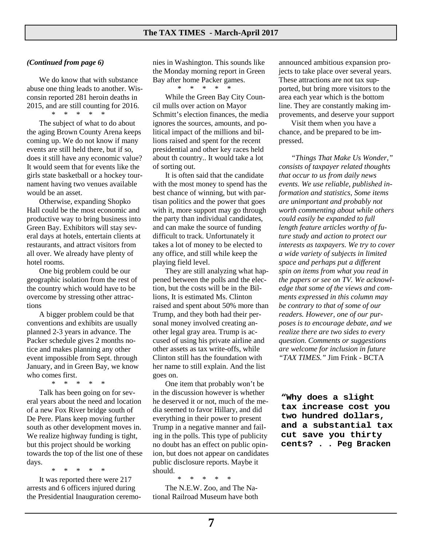#### *(Continued from page 6)*

We do know that with substance abuse one thing leads to another. Wisconsin reported 281 heroin deaths in 2015, and are still counting for 2016.  $*$  \*

The subject of what to do about the aging Brown County Arena keeps coming up. We do not know if many events are still held there, but if so, does it still have any economic value? It would seem that for events like the girls state basketball or a hockey tournament having two venues available would be an asset.

Otherwise, expanding Shopko Hall could be the most economic and productive way to bring business into Green Bay. Exhibitors will stay several days at hotels, entertain clients at restaurants, and attract visitors from all over. We already have plenty of hotel rooms.

One big problem could be our geographic isolation from the rest of the country which would have to be overcome by stressing other attractions

A bigger problem could be that conventions and exhibits are usually planned 2-3 years in advance. The Packer schedule gives 2 months notice and makes planning any other event impossible from Sept. through January, and in Green Bay, we know who comes first.

 \* \* \* \* \* Talk has been going on for several years about the need and location of a new Fox River bridge south of De Pere. Plans keep moving further south as other development moves in. We realize highway funding is tight, but this project should be working towards the top of the list one of these days.

\* \* \* \* \*

It was reported there were 217 arrests and 6 officers injured during the Presidential Inauguration ceremonies in Washington. This sounds like the Monday morning report in Green Bay after home Packer games.

\* \* \* \* \*

While the Green Bay City Council mulls over action on Mayor Schmitt's election finances, the media ignores the sources, amounts, and political impact of the millions and billions raised and spent for the recent presidential and other key races held about th country.. It would take a lot of sorting out.

It is often said that the candidate with the most money to spend has the best chance of winning, but with partisan politics and the power that goes with it, more support may go through the party than individual candidates, and can make the source of funding difficult to track. Unfortunately it takes a lot of money to be elected to any office, and still while keep the playing field level.

They are still analyzing what happened between the polls and the election, but the costs will be in the Billions, It is estimated Ms. Clinton raised and spent about 50% more than Trump, and they both had their personal money involved creating another legal gray area. Trump is accused of using his private airline and other assets as tax write-offs, while Clinton still has the foundation with her name to still explain. And the list goes on.

One item that probably won't be in the discussion however is whether he deserved it or not, much of the media seemed to favor Hillary, and did everything in their power to present Trump in a negative manner and failing in the polls. This type of publicity no doubt has an effect on public opinion, but does not appear on candidates public disclosure reports. Maybe it should.

The N.E.W. Zoo, and The National Railroad Museum have both

\* \* \* \* \*

announced ambitious expansion projects to take place over several years. These attractions are not tax supported, but bring more visitors to the area each year which is the bottom line. They are constantly making improvements, and deserve your support

Visit them when you have a chance, and be prepared to be impressed.

*"Things That Make Us Wonder," consists of taxpayer related thoughts that occur to us from daily news events. We use reliable, published information and statistics, Some items are unimportant and probably not worth commenting about while others could easily be expanded to full length feature articles worthy of future study and action to protect our interests as taxpayers. We try to cover a wide variety of subjects in limited space and perhaps put a different spin on items from what you read in the papers or see on TV. We acknowledge that some of the views and comments expressed in this column may be contrary to that of some of our readers. However, one of our purposes is to encourage debate, and we realize there are two sides to every question. Comments or suggestions are welcome for inclusion in future "TAX TIMES."* Jim Frink - BCTA

**"Why does a slight tax increase cost you two hundred dollars, and a substantial tax cut save you thirty cents? . . Peg Bracken**